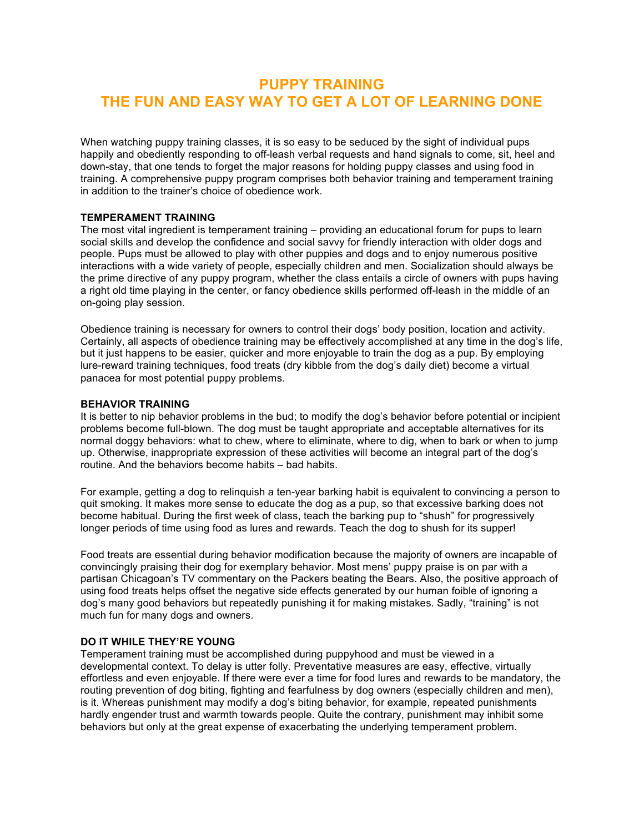# **PUPPY TRAINING THE FUN AND EASY WAY TO GET A LOT OF LEARNING DONE**

When watching puppy training classes, it is so easy to be seduced by the sight of individual pups happily and obediently responding to off-leash verbal requests and hand signals to come, sit, heel and down-stay, that one tends to forget the major reasons for holding puppy classes and using food in training. A comprehensive puppy program comprises both behavior training and temperament training in addition to the trainer's choice of obedience work.

### **TEMPERAMENT TRAINING**

The most vital ingredient is temperament training – providing an educational forum for pups to learn social skills and develop the confidence and social savvy for friendly interaction with older dogs and people. Pups must be allowed to play with other puppies and dogs and to enjoy numerous positive interactions with a wide variety of people, especially children and men. Socialization should always be the prime directive of any puppy program, whether the class entails a circle of owners with pups having a right old time playing in the center, or fancy obedience skills performed off-leash in the middle of an on-going play session.

Obedience training is necessary for owners to control their dogs' body position, location and activity. Certainly, all aspects of obedience training may be effectively accomplished at any time in the dog's life, but it just happens to be easier, quicker and more enjoyable to train the dog as a pup. By employing lure-reward training techniques, food treats (dry kibble from the dog's daily diet) become a virtual panacea for most potential puppy problems.

### **BEHAVIOR TRAINING**

It is better to nip behavior problems in the bud; to modify the dog's behavior before potential or incipient problems become full-blown. The dog must be taught appropriate and acceptable alternatives for its normal doggy behaviors: what to chew, where to eliminate, where to dig, when to bark or when to jump up. Otherwise, inappropriate expression of these activities will become an integral part of the dog's routine. And the behaviors become habits – bad habits.

For example, getting a dog to relinquish a ten-year barking habit is equivalent to convincing a person to quit smoking. It makes more sense to educate the dog as a pup, so that excessive barking does not become habitual. During the first week of class, teach the barking pup to "shush" for progressively longer periods of time using food as lures and rewards. Teach the dog to shush for its supper!

Food treats are essential during behavior modification because the majority of owners are incapable of convincingly praising their dog for exemplary behavior. Most mens' puppy praise is on par with a partisan Chicagoan's TV commentary on the Packers beating the Bears. Also, the positive approach of using food treats helps offset the negative side effects generated by our human foible of ignoring a dog's many good behaviors but repeatedly punishing it for making mistakes. Sadly, "training" is not much fun for many dogs and owners.

### **DO IT WHILE THEY'RE YOUNG**

Temperament training must be accomplished during puppyhood and must be viewed in a developmental context. To delay is utter folly. Preventative measures are easy, effective, virtually effortless and even enjoyable. If there were ever a time for food lures and rewards to be mandatory, the routing prevention of dog biting, fighting and fearfulness by dog owners (especially children and men), is it. Whereas punishment may modify a dog's biting behavior, for example, repeated punishments hardly engender trust and warmth towards people. Quite the contrary, punishment may inhibit some behaviors but only at the great expense of exacerbating the underlying temperament problem.